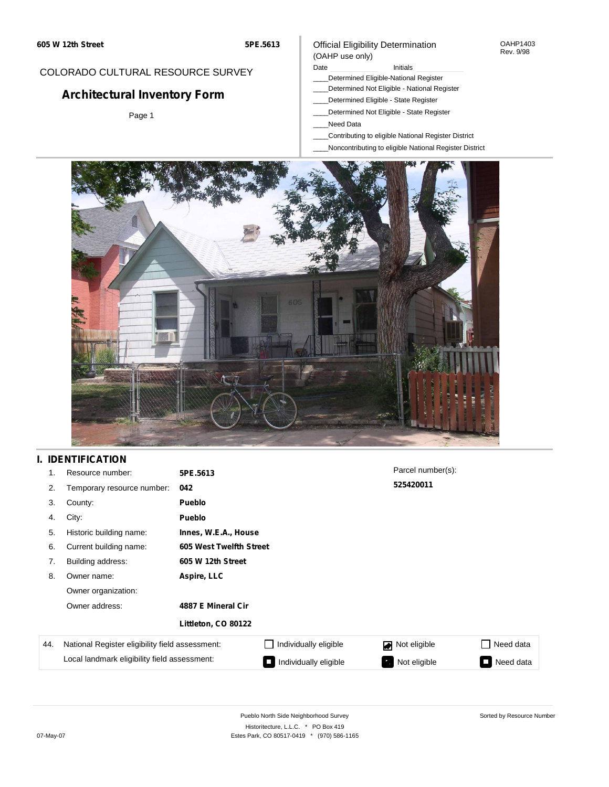#### OAHP1403 Rev. 9/98

## COLORADO CULTURAL RESOURCE SURVEY

# **Architectural Inventory Form**

Page 1

### Official Eligibility Determination (OAHP use only)

Date **Initials** Initials

- \_\_\_\_Determined Eligible-National Register
- \_\_\_\_Determined Not Eligible National Register
- \_\_\_\_Determined Eligible State Register
- \_\_\_\_Determined Not Eligible State Register
- \_\_\_\_Need Data
- \_\_\_\_Contributing to eligible National Register District
- \_\_\_\_Noncontributing to eligible National Register District



## **I. IDENTIFICATION**

| 1.  | Resource number:                                | 5PE.5613             |                         | Parcel number(s): |           |  |  |  |  |  |
|-----|-------------------------------------------------|----------------------|-------------------------|-------------------|-----------|--|--|--|--|--|
| 2.  | Temporary resource number:                      | 042                  |                         | 525420011         |           |  |  |  |  |  |
| 3.  | County:                                         | <b>Pueblo</b>        |                         |                   |           |  |  |  |  |  |
| 4.  | City:                                           | <b>Pueblo</b>        |                         |                   |           |  |  |  |  |  |
| 5.  | Historic building name:                         | Innes, W.E.A., House |                         |                   |           |  |  |  |  |  |
| 6.  | Current building name:                          |                      | 605 West Twelfth Street |                   |           |  |  |  |  |  |
| 7.  | Building address:                               | 605 W 12th Street    |                         |                   |           |  |  |  |  |  |
| 8.  | Owner name:                                     | Aspire, LLC          |                         |                   |           |  |  |  |  |  |
|     | Owner organization:                             |                      |                         |                   |           |  |  |  |  |  |
|     | Owner address:                                  | 4887 E Mineral Cir   |                         |                   |           |  |  |  |  |  |
|     |                                                 | Littleton, CO 80122  |                         |                   |           |  |  |  |  |  |
| 44. | National Register eligibility field assessment: |                      | Individually eligible   | Not eligible      | Need data |  |  |  |  |  |
|     | Local landmark eligibility field assessment:    |                      | Individually eligible   | Not eligible<br>ъ | Need data |  |  |  |  |  |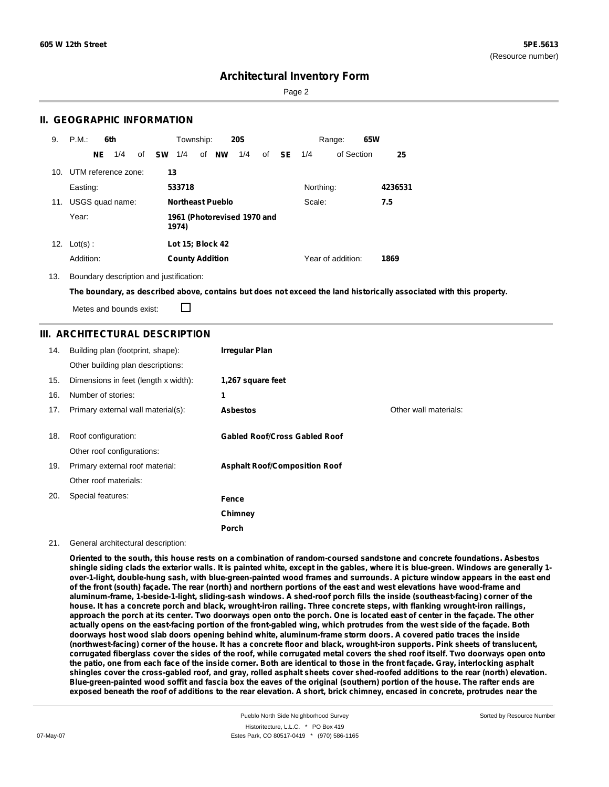Page 2

### **II. GEOGRAPHIC INFORMATION**

| 9.  | P.M.                |    | 6th |    |           | Township:              |                         | <b>20S</b>                  |    |           |           | Range:            | 65W |         |
|-----|---------------------|----|-----|----|-----------|------------------------|-------------------------|-----------------------------|----|-----------|-----------|-------------------|-----|---------|
|     |                     | NE | 1/4 | of | <b>SW</b> | 1/4                    | of NW                   | 1/4                         | of | <b>SE</b> | 1/4       | of Section        |     | 25      |
| 10. | UTM reference zone: |    |     |    | 13        |                        |                         |                             |    |           |           |                   |     |         |
|     | Easting:            |    |     |    |           | 533718                 |                         |                             |    |           | Northing: |                   |     | 4236531 |
|     | 11. USGS quad name: |    |     |    |           |                        | <b>Northeast Pueblo</b> |                             |    |           | Scale:    |                   |     | 7.5     |
|     | Year:               |    |     |    |           | 1974)                  |                         | 1961 (Photorevised 1970 and |    |           |           |                   |     |         |
| 12. | $Lot(s)$ :          |    |     |    |           | Lot 15; Block 42       |                         |                             |    |           |           |                   |     |         |
|     | Addition:           |    |     |    |           | <b>County Addition</b> |                         |                             |    |           |           | Year of addition: |     | 1869    |

13. Boundary description and justification:

The boundary, as described above, contains but does not exceed the land historically associated with this property.

Metes and bounds exist:

П

#### **III. ARCHITECTURAL DESCRIPTION**

| 14. | Building plan (footprint, shape):    | <b>Irregular Plan</b>                |                       |
|-----|--------------------------------------|--------------------------------------|-----------------------|
|     | Other building plan descriptions:    |                                      |                       |
| 15. | Dimensions in feet (length x width): | 1,267 square feet                    |                       |
| 16. | Number of stories:                   | 1                                    |                       |
| 17. | Primary external wall material(s):   | <b>Asbestos</b>                      | Other wall materials: |
|     |                                      |                                      |                       |
| 18. | Roof configuration:                  | <b>Gabled Roof/Cross Gabled Roof</b> |                       |
|     | Other roof configurations:           |                                      |                       |
| 19. | Primary external roof material:      | <b>Asphalt Roof/Composition Roof</b> |                       |
|     | Other roof materials:                |                                      |                       |
| 20. | Special features:                    | Fence                                |                       |
|     |                                      | Chimney                              |                       |
|     |                                      | Porch                                |                       |

#### 21. General architectural description:

Oriented to the south, this house rests on a combination of random-coursed sandstone and concrete foundations. Asbestos shingle siding clads the exterior walls. It is painted white, except in the gables, where it is blue-green. Windows are generally 1over-1-light, double-hung sash, with blue-green-painted wood frames and surrounds. A picture window appears in the east end of the front (south) facade. The rear (north) and northern portions of the east and west elevations have wood-frame and **aluminum-frame, 1-beside-1-light, sliding-sash windows. A shed-roof porch fills the inside (southeast-facing) corner of the** house. It has a concrete porch and black, wrought-iron railing. Three concrete steps, with flanking wrought-iron railings, approach the porch at its center. Two doorways open onto the porch. One is located east of center in the façade. The other actually opens on the east-facing portion of the front-gabled wing, which protrudes from the west side of the façade. Both doorways host wood slab doors opening behind white, aluminum-frame storm doors. A covered patio traces the inside (northwest-facing) corner of the house. It has a concrete floor and black, wrought-iron supports. Pink sheets of translucent, corrugated fiberglass cover the sides of the roof, while corrugated metal covers the shed roof itself. Two doorways open onto the patio, one from each face of the inside corner. Both are identical to those in the front façade. Gray, interlocking asphalt shingles cover the cross-gabled roof, and gray, rolled asphalt sheets cover shed-roofed additions to the rear (north) elevation. Blue-green-painted wood soffit and fascia box the eaves of the original (southern) portion of the house. The rafter ends are exposed beneath the roof of additions to the rear elevation. A short, brick chimney, encased in concrete, protrudes near the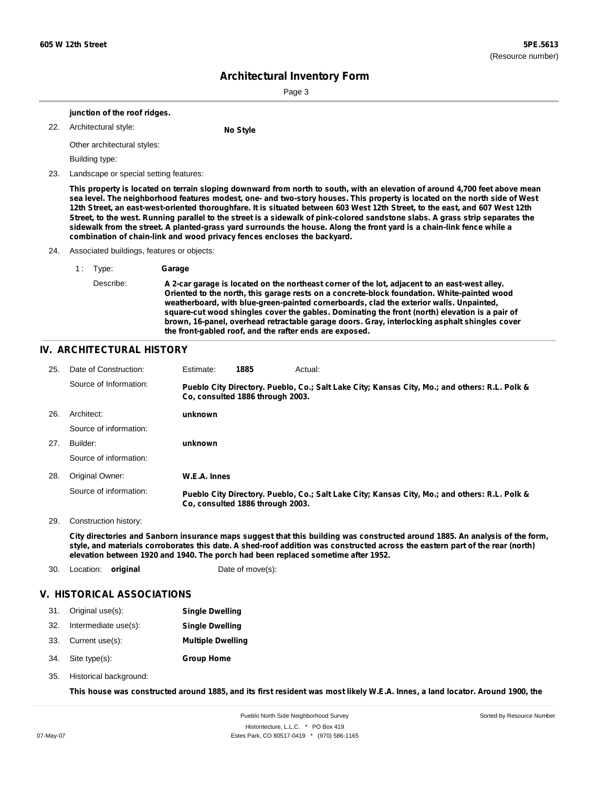Sorted by Resource Number

# **Architectural Inventory Form**

Page 3

|     |                             | junction of the roof ridges.           |                                                                                                                                                                                                                                                                                                                                                                                                                                                                                                                                                                                                                                                                                                                                   |  |  |  |  |  |  |  |
|-----|-----------------------------|----------------------------------------|-----------------------------------------------------------------------------------------------------------------------------------------------------------------------------------------------------------------------------------------------------------------------------------------------------------------------------------------------------------------------------------------------------------------------------------------------------------------------------------------------------------------------------------------------------------------------------------------------------------------------------------------------------------------------------------------------------------------------------------|--|--|--|--|--|--|--|
| 22. |                             | Architectural style:                   | No Style                                                                                                                                                                                                                                                                                                                                                                                                                                                                                                                                                                                                                                                                                                                          |  |  |  |  |  |  |  |
|     | Other architectural styles: |                                        |                                                                                                                                                                                                                                                                                                                                                                                                                                                                                                                                                                                                                                                                                                                                   |  |  |  |  |  |  |  |
|     |                             | Building type:                         |                                                                                                                                                                                                                                                                                                                                                                                                                                                                                                                                                                                                                                                                                                                                   |  |  |  |  |  |  |  |
| 23. |                             | Landscape or special setting features: |                                                                                                                                                                                                                                                                                                                                                                                                                                                                                                                                                                                                                                                                                                                                   |  |  |  |  |  |  |  |
|     |                             |                                        | This property is located on terrain sloping downward from north to south, with an elevation of around 4,700 feet above mean<br>sea level. The neighborhood features modest, one- and two-story houses. This property is located on the north side of West<br>12th Street, an east-west-oriented thoroughfare. It is situated between 603 West 12th Street, to the east, and 607 West 12th<br>Street, to the west. Running parallel to the street is a sidewalk of pink-colored sandstone slabs. A grass strip separates the<br>sidewalk from the street. A planted-grass yard surrounds the house. Along the front yard is a chain-link fence while a<br>combination of chain-link and wood privacy fences encloses the backyard. |  |  |  |  |  |  |  |
| 24. |                             |                                        | Associated buildings, features or objects:                                                                                                                                                                                                                                                                                                                                                                                                                                                                                                                                                                                                                                                                                        |  |  |  |  |  |  |  |
|     | 1:                          | Type:                                  | Garage                                                                                                                                                                                                                                                                                                                                                                                                                                                                                                                                                                                                                                                                                                                            |  |  |  |  |  |  |  |
|     |                             | Describe:                              | A 2-car garage is located on the northeast corner of the lot, adjacent to an east-west alley.<br>Oriented to the north, this garage rests on a concrete-block foundation. White-painted wood<br>weatherboard, with blue-green-painted cornerboards, clad the exterior walls. Unpainted,<br>square-cut wood shingles cover the gables. Dominating the front (north) elevation is a pair of<br>brown, 16-panel, overhead retractable garage doors. Gray, interlocking asphalt shingles cover<br>the front-gabled roof, and the rafter ends are exposed.                                                                                                                                                                             |  |  |  |  |  |  |  |
|     |                             | IV. ARCHITECTURAL HISTORY              |                                                                                                                                                                                                                                                                                                                                                                                                                                                                                                                                                                                                                                                                                                                                   |  |  |  |  |  |  |  |
| 25. |                             | Date of Construction:                  | 1885<br>Estimate:<br>Actual:                                                                                                                                                                                                                                                                                                                                                                                                                                                                                                                                                                                                                                                                                                      |  |  |  |  |  |  |  |
|     |                             | Source of Information:                 | Pueblo City Directory. Pueblo, Co.; Salt Lake City; Kansas City, Mo.; and others: R.L. Polk &<br>Co, consulted 1886 through 2003.                                                                                                                                                                                                                                                                                                                                                                                                                                                                                                                                                                                                 |  |  |  |  |  |  |  |
| 26. | Architect:                  |                                        | unknown                                                                                                                                                                                                                                                                                                                                                                                                                                                                                                                                                                                                                                                                                                                           |  |  |  |  |  |  |  |
|     |                             | Source of information:                 |                                                                                                                                                                                                                                                                                                                                                                                                                                                                                                                                                                                                                                                                                                                                   |  |  |  |  |  |  |  |
| 27. | Builder:                    |                                        | unknown                                                                                                                                                                                                                                                                                                                                                                                                                                                                                                                                                                                                                                                                                                                           |  |  |  |  |  |  |  |
|     |                             | Source of information:                 |                                                                                                                                                                                                                                                                                                                                                                                                                                                                                                                                                                                                                                                                                                                                   |  |  |  |  |  |  |  |
| 28. |                             | Original Owner:                        | W.E.A. Innes                                                                                                                                                                                                                                                                                                                                                                                                                                                                                                                                                                                                                                                                                                                      |  |  |  |  |  |  |  |
|     |                             | Source of information:                 | Pueblo City Directory. Pueblo, Co.; Salt Lake City; Kansas City, Mo.; and others: R.L. Polk &<br>Co, consulted 1886 through 2003.                                                                                                                                                                                                                                                                                                                                                                                                                                                                                                                                                                                                 |  |  |  |  |  |  |  |
| 29. |                             | Construction history:                  |                                                                                                                                                                                                                                                                                                                                                                                                                                                                                                                                                                                                                                                                                                                                   |  |  |  |  |  |  |  |
|     |                             |                                        | City directories and Sanborn insurance maps suggest that this building was constructed around 1885. An analysis of the form,<br>style, and materials corroborates this date. A shed-roof addition was constructed across the eastern part of the rear (north)<br>elevation between 1920 and 1940. The porch had been replaced sometime after 1952.                                                                                                                                                                                                                                                                                                                                                                                |  |  |  |  |  |  |  |
| 30. |                             | Location: original                     | Date of move(s):                                                                                                                                                                                                                                                                                                                                                                                                                                                                                                                                                                                                                                                                                                                  |  |  |  |  |  |  |  |
|     |                             | <b>V. HISTORICAL ASSOCIATIONS</b>      |                                                                                                                                                                                                                                                                                                                                                                                                                                                                                                                                                                                                                                                                                                                                   |  |  |  |  |  |  |  |
| 31. |                             | Original use(s):                       | <b>Single Dwelling</b>                                                                                                                                                                                                                                                                                                                                                                                                                                                                                                                                                                                                                                                                                                            |  |  |  |  |  |  |  |
| 32. |                             | Intermediate use(s):                   | <b>Single Dwelling</b>                                                                                                                                                                                                                                                                                                                                                                                                                                                                                                                                                                                                                                                                                                            |  |  |  |  |  |  |  |
| 33. |                             | Current use(s):                        | <b>Multiple Dwelling</b>                                                                                                                                                                                                                                                                                                                                                                                                                                                                                                                                                                                                                                                                                                          |  |  |  |  |  |  |  |
| 34. |                             | Site type(s):                          | <b>Group Home</b>                                                                                                                                                                                                                                                                                                                                                                                                                                                                                                                                                                                                                                                                                                                 |  |  |  |  |  |  |  |

35. Historical background:

This house was constructed around 1885, and its first resident was most likely W.E.A. Innes, a land locator. Around 1900, the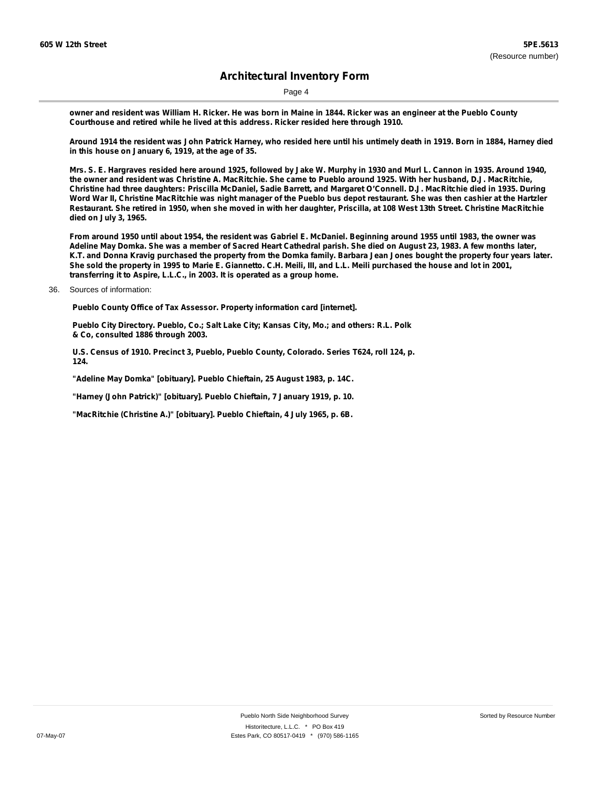Page 4

owner and resident was William H. Ricker. He was born in Maine in 1844. Ricker was an engineer at the Pueblo County **Courthouse and retired while he lived at this address. Ricker resided here through 1910.**

Around 1914 the resident was John Patrick Harney, who resided here until his untimely death in 1919. Born in 1884, Harney died **in this house on January 6, 1919, at the age of 35.**

Mrs. S. E. Hargraves resided here around 1925, followed by Jake W. Murphy in 1930 and Murl L. Cannon in 1935. Around 1940, the owner and resident was Christine A. MacRitchie. She came to Pueblo around 1925. With her husband, D.J. MacRitchie, Christine had three daughters: Priscilla McDaniel, Sadie Barrett, and Margaret O'Connell. D.J. MacRitchie died in 1935. During Word War II, Christine MacRitchie was night manager of the Pueblo bus depot restaurant. She was then cashier at the Hartzler Restaurant. She retired in 1950, when she moved in with her daughter, Priscilla, at 108 West 13th Street. Christine MacRitchie **died on July 3, 1965.**

From around 1950 until about 1954, the resident was Gabriel E. McDaniel. Beginning around 1955 until 1983, the owner was Adeline May Domka. She was a member of Sacred Heart Cathedral parish. She died on August 23, 1983. A few months later, K.T. and Donna Kravig purchased the property from the Domka family. Barbara Jean Jones bought the property four years later. She sold the property in 1995 to Marie E. Giannetto. C.H. Meili, III, and L.L. Meili purchased the house and lot in 2001, **transferring it to Aspire, L.L.C., in 2003. It is operated as a group home.**

**Pueblo County Office of Tax Assessor. Property information card [internet].**

**Pueblo City Directory. Pueblo, Co.; Salt Lake City; Kansas City, Mo.; and others: R.L. Polk & Co, consulted 1886 through 2003.**

**U.S. Census of 1910. Precinct 3, Pueblo, Pueblo County, Colorado. Series T624, roll 124, p. 124.**

**"Adeline May Domka" [obituary]. Pueblo Chieftain, 25 August 1983, p. 14C.**

**"Harney (John Patrick)" [obituary]. Pueblo Chieftain, 7 January 1919, p. 10.**

**"MacRitchie (Christine A.)" [obituary]. Pueblo Chieftain, 4 July 1965, p. 6B.**

<sup>36.</sup> Sources of information: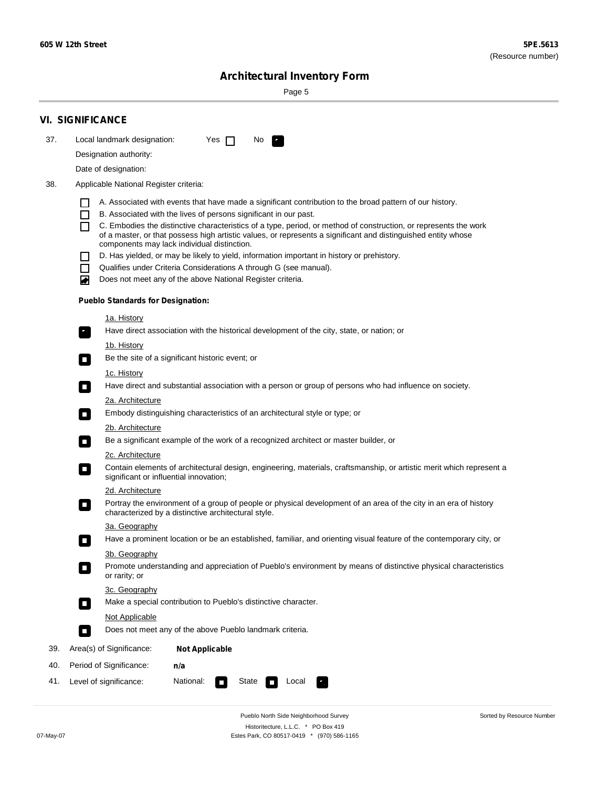Sorted by Resource Number

# **Architectural Inventory Form**

Page 5

|     | <b>VI. SIGNIFICANCE</b>                                                                                                                                                                        |  |  |  |  |  |  |
|-----|------------------------------------------------------------------------------------------------------------------------------------------------------------------------------------------------|--|--|--|--|--|--|
| 37. | Local landmark designation:<br>Yes $\Box$<br>No.<br>$\mathbf{F}_{\mathbf{r}}$                                                                                                                  |  |  |  |  |  |  |
|     | Designation authority:                                                                                                                                                                         |  |  |  |  |  |  |
|     | Date of designation:                                                                                                                                                                           |  |  |  |  |  |  |
| 38. | Applicable National Register criteria:                                                                                                                                                         |  |  |  |  |  |  |
|     |                                                                                                                                                                                                |  |  |  |  |  |  |
|     | A. Associated with events that have made a significant contribution to the broad pattern of our history.<br>B. Associated with the lives of persons significant in our past.<br>$\blacksquare$ |  |  |  |  |  |  |
|     | C. Embodies the distinctive characteristics of a type, period, or method of construction, or represents the work<br>П                                                                          |  |  |  |  |  |  |
|     | of a master, or that possess high artistic values, or represents a significant and distinguished entity whose<br>components may lack individual distinction.                                   |  |  |  |  |  |  |
|     | D. Has yielded, or may be likely to yield, information important in history or prehistory.                                                                                                     |  |  |  |  |  |  |
|     | Qualifies under Criteria Considerations A through G (see manual).<br>$\sim$                                                                                                                    |  |  |  |  |  |  |
|     | Does not meet any of the above National Register criteria.<br>₩                                                                                                                                |  |  |  |  |  |  |
|     | <b>Pueblo Standards for Designation:</b>                                                                                                                                                       |  |  |  |  |  |  |
|     | 1a. History                                                                                                                                                                                    |  |  |  |  |  |  |
|     | $\overline{\mathbf{r}}_1$<br>Have direct association with the historical development of the city, state, or nation; or                                                                         |  |  |  |  |  |  |
|     | <u>1b. History</u>                                                                                                                                                                             |  |  |  |  |  |  |
|     | Be the site of a significant historic event; or<br>$\overline{\phantom{a}}$                                                                                                                    |  |  |  |  |  |  |
|     | 1c. History                                                                                                                                                                                    |  |  |  |  |  |  |
|     | Have direct and substantial association with a person or group of persons who had influence on society.<br>$\overline{\phantom{a}}$                                                            |  |  |  |  |  |  |
|     | 2a. Architecture                                                                                                                                                                               |  |  |  |  |  |  |
|     | Embody distinguishing characteristics of an architectural style or type; or                                                                                                                    |  |  |  |  |  |  |
|     | 2b. Architecture                                                                                                                                                                               |  |  |  |  |  |  |
|     | Be a significant example of the work of a recognized architect or master builder, or<br>$\Box$                                                                                                 |  |  |  |  |  |  |
|     | 2c. Architecture                                                                                                                                                                               |  |  |  |  |  |  |
|     | Contain elements of architectural design, engineering, materials, craftsmanship, or artistic merit which represent a<br>$\Box$<br>significant or influential innovation;                       |  |  |  |  |  |  |
|     | 2d. Architecture                                                                                                                                                                               |  |  |  |  |  |  |
|     | Portray the environment of a group of people or physical development of an area of the city in an era of history<br>$\Box$<br>characterized by a distinctive architectural style.              |  |  |  |  |  |  |
|     | 3a. Geography                                                                                                                                                                                  |  |  |  |  |  |  |
|     | Have a prominent location or be an established, familiar, and orienting visual feature of the contemporary city, or                                                                            |  |  |  |  |  |  |
|     | 3b. Geography<br>Promote understanding and appreciation of Pueblo's environment by means of distinctive physical characteristics                                                               |  |  |  |  |  |  |
|     | or rarity; or                                                                                                                                                                                  |  |  |  |  |  |  |
|     | 3c. Geography                                                                                                                                                                                  |  |  |  |  |  |  |
|     | Make a special contribution to Pueblo's distinctive character.<br>$\overline{\phantom{a}}$                                                                                                     |  |  |  |  |  |  |
|     | <b>Not Applicable</b>                                                                                                                                                                          |  |  |  |  |  |  |
|     | Does not meet any of the above Pueblo landmark criteria.<br>$\overline{\phantom{a}}$                                                                                                           |  |  |  |  |  |  |
| 39. | Area(s) of Significance:<br><b>Not Applicable</b>                                                                                                                                              |  |  |  |  |  |  |
| 40. | Period of Significance:<br>n/a                                                                                                                                                                 |  |  |  |  |  |  |
| 41. | National:<br>Level of significance:<br>State<br>Local<br>$\mathcal{L}_{\mathcal{A}}$                                                                                                           |  |  |  |  |  |  |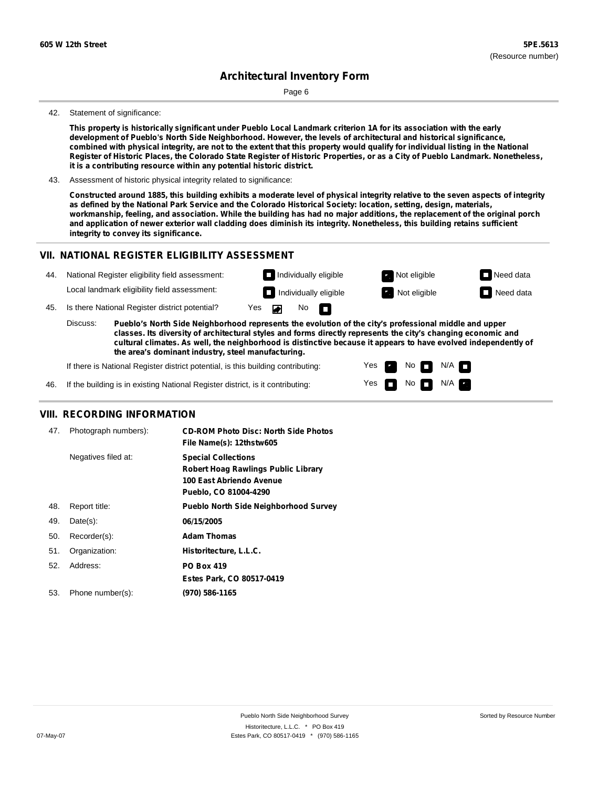Page 6

#### 42. Statement of significance:

This property is historically significant under Pueblo Local Landmark criterion 1A for its association with the early **development of Pueblo's North Side Neighborhood. However, the levels of architectural and historical significance,** combined with physical integrity, are not to the extent that this property would qualify for individual listing in the National Register of Historic Places, the Colorado State Register of Historic Properties, or as a City of Pueblo Landmark. Nonetheless, **it is a contributing resource within any potential historic district.**

43. Assessment of historic physical integrity related to significance:

Constructed around 1885, this building exhibits a moderate level of physical integrity relative to the seven aspects of integrity as defined by the National Park Service and the Colorado Historical Society: location, setting, design, materials, workmanship, feeling, and association. While the building has had no major additions, the replacement of the original porch and application of newer exterior wall cladding does diminish its integrity. Nonetheless, this building retains sufficient **integrity to convey its significance.**

#### **VII. NATIONAL REGISTER ELIGIBILITY ASSESSMENT**

| 44. | National Register eligibility field assessment: |                                                                                                                                                                                                                       |  | Individually eligible |                              |              | Not eligible     | $\Box$ Need data |
|-----|-------------------------------------------------|-----------------------------------------------------------------------------------------------------------------------------------------------------------------------------------------------------------------------|--|-----------------------|------------------------------|--------------|------------------|------------------|
|     | Local landmark eligibility field assessment:    |                                                                                                                                                                                                                       |  |                       | $\Box$ Individually eligible | Not eligible | $\Box$ Need data |                  |
| 45. |                                                 | Is there National Register district potential?                                                                                                                                                                        |  | Yes Dan               | No $\blacksquare$            |              |                  |                  |
|     | Discuss:                                        | Pueblo's North Side Neighborhood represents the evolution of the city's professional middle and upper<br>classes lts diversity of architectural styles and forms directly represents the city's changing economic and |  |                       |                              |              |                  |                  |

**classes. Its diversity of architectural styles and forms directly represents the city's changing economic and cultural climates. As well, the neighborhood is distinctive because it appears to have evolved independently of the area's dominant industry, steel manufacturing.**

> Yes Yes

No<sub>I</sub>I

No  $\blacksquare$  N/A  $\blacksquare$ 

 $N/A$ 

If there is National Register district potential, is this building contributing:

46. If the building is in existing National Register district, is it contributing:

#### **VIII. RECORDING INFORMATION**

| 47. | Photograph numbers): | <b>CD-ROM Photo Disc: North Side Photos</b><br>File Name(s): 12thstw605                                                |
|-----|----------------------|------------------------------------------------------------------------------------------------------------------------|
|     | Negatives filed at:  | <b>Special Collections</b><br>Robert Hoag Rawlings Public Library<br>100 East Abriendo Avenue<br>Pueblo, CO 81004-4290 |
| 48. | Report title:        | <b>Pueblo North Side Neighborhood Survey</b>                                                                           |
| 49. | $Date(s)$ :          | 06/15/2005                                                                                                             |
| 50. | Recorder(s):         | <b>Adam Thomas</b>                                                                                                     |
| 51. | Organization:        | Historitecture, L.L.C.                                                                                                 |
| 52. | Address:             | <b>PO Box 419</b>                                                                                                      |
|     |                      | Estes Park, CO 80517-0419                                                                                              |
| 53. | Phone number(s):     | (970) 586-1165                                                                                                         |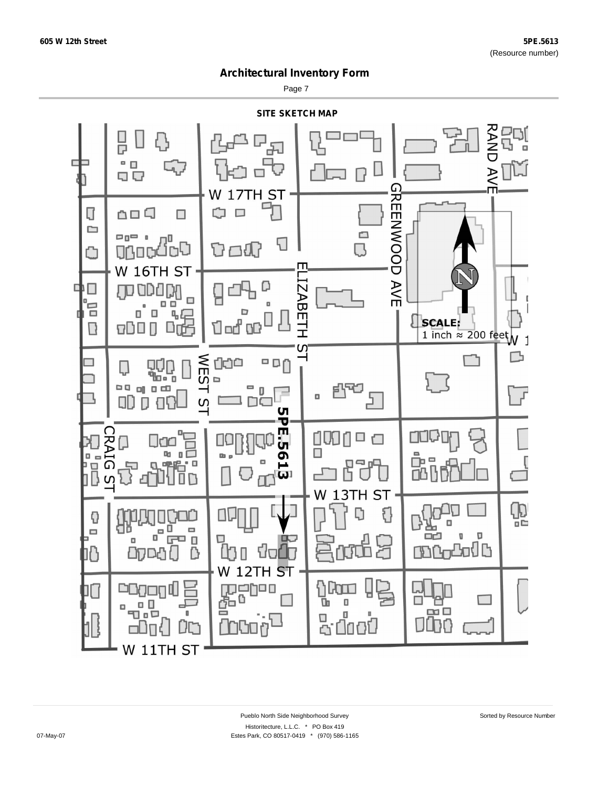Page 7